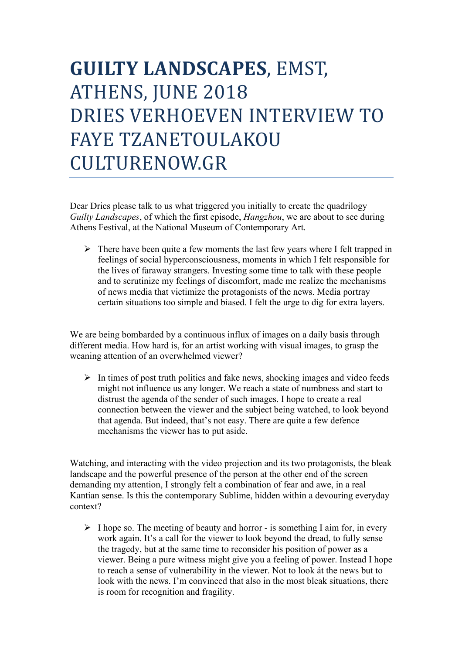## **GUILTY LANDSCAPES**, EMST, ATHENS, JUNE 2018 DRIES VERHOEVEN INTERVIEW TO FAYE TZANETOULAKOU CULTURENOW.GR

Dear Dries please talk to us what triggered you initially to create the quadrilogy *Guilty Landscapes*, of which the first episode, *Hangzhou*, we are about to see during Athens Festival, at the National Museum of Contemporary Art.

 $\triangleright$  There have been quite a few moments the last few years where I felt trapped in feelings of social hyperconsciousness, moments in which I felt responsible for the lives of faraway strangers. Investing some time to talk with these people and to scrutinize my feelings of discomfort, made me realize the mechanisms of news media that victimize the protagonists of the news. Media portray certain situations too simple and biased. I felt the urge to dig for extra layers.

We are being bombarded by a continuous influx of images on a daily basis through different media. How hard is, for an artist working with visual images, to grasp the weaning attention of an overwhelmed viewer?

 $\triangleright$  In times of post truth politics and fake news, shocking images and video feeds might not influence us any longer. We reach a state of numbness and start to distrust the agenda of the sender of such images. I hope to create a real connection between the viewer and the subject being watched, to look beyond that agenda. But indeed, that's not easy. There are quite a few defence mechanisms the viewer has to put aside.

Watching, and interacting with the video projection and its two protagonists, the bleak landscape and the powerful presence of the person at the other end of the screen demanding my attention, I strongly felt a combination of fear and awe, in a real Kantian sense. Is this the contemporary Sublime, hidden within a devouring everyday context?

 $\triangleright$  I hope so. The meeting of beauty and horror - is something I aim for, in every work again. It's a call for the viewer to look beyond the dread, to fully sense the tragedy, but at the same time to reconsider his position of power as a viewer. Being a pure witness might give you a feeling of power. Instead I hope to reach a sense of vulnerability in the viewer. Not to look át the news but to look with the news. I'm convinced that also in the most bleak situations, there is room for recognition and fragility.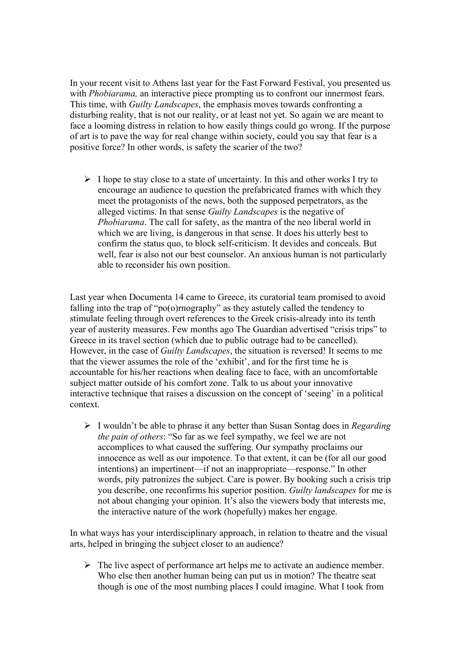In your recent visit to Athens last year for the Fast Forward Festival, you presented us with *Phobiarama*, an interactive piece prompting us to confront our innermost fears. This time, with *Guilty Landscapes*, the emphasis moves towards confronting a disturbing reality, that is not our reality, or at least not yet. So again we are meant to face a looming distress in relation to how easily things could go wrong. If the purpose of art is to pave the way for real change within society, could you say that fear is a positive force? In other words, is safety the scarier of the two?

 $\triangleright$  I hope to stay close to a state of uncertainty. In this and other works I try to encourage an audience to question the prefabricated frames with which they meet the protagonists of the news, both the supposed perpetrators, as the alleged victims. In that sense *Guilty Landscapes* is the negative of *Phobiarama*. The call for safety, as the mantra of the neo liberal world in which we are living, is dangerous in that sense. It does his utterly best to confirm the status quo, to block self-criticism. It devides and conceals. But well, fear is also not our best counselor. An anxious human is not particularly able to reconsider his own position.

Last year when Documenta 14 came to Greece, its curatorial team promised to avoid falling into the trap of "po(o)rnography" as they astutely called the tendency to stimulate feeling through overt references to the Greek crisis-already into its tenth year of austerity measures. Few months ago The Guardian advertised "crisis trips" to Greece in its travel section (which due to public outrage had to be cancelled). However, in the case of *Guilty Landscapes*, the situation is reversed! It seems to me that the viewer assumes the role of the 'exhibit', and for the first time he is accountable for his/her reactions when dealing face to face, with an uncomfortable subject matter outside of his comfort zone. Talk to us about your innovative interactive technique that raises a discussion on the concept of 'seeing' in a political context.

Ø I wouldn't be able to phrase it any better than Susan Sontag does in *Regarding the pain of others*: "So far as we feel sympathy, we feel we are not accomplices to what caused the suffering. Our sympathy proclaims our innocence as well as our impotence. To that extent, it can be (for all our good intentions) an impertinent—if not an inappropriate—response." In other words, pity patronizes the subject. Care is power. By booking such a crisis trip you describe, one reconfirms his superior position. *Guilty landscapes* for me is not about changing your opinion. It's also the viewers body that interests me, the interactive nature of the work (hopefully) makes her engage.

In what ways has your interdisciplinary approach, in relation to theatre and the visual arts, helped in bringing the subject closer to an audience?

 $\triangleright$  The live aspect of performance art helps me to activate an audience member. Who else then another human being can put us in motion? The theatre seat though is one of the most numbing places I could imagine. What I took from